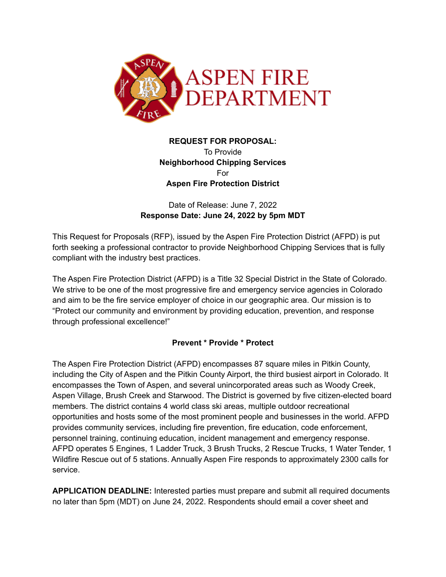

# **REQUEST FOR PROPOSAL:** To Provide **Neighborhood Chipping Services** For **Aspen Fire Protection District**

# Date of Release: June 7, 2022 **Response Date: June 24, 2022 by 5pm MDT**

This Request for Proposals (RFP), issued by the Aspen Fire Protection District (AFPD) is put forth seeking a professional contractor to provide Neighborhood Chipping Services that is fully compliant with the industry best practices.

The Aspen Fire Protection District (AFPD) is a Title 32 Special District in the State of Colorado. We strive to be one of the most progressive fire and emergency service agencies in Colorado and aim to be the fire service employer of choice in our geographic area. Our mission is to "Protect our community and environment by providing education, prevention, and response through professional excellence!"

# **Prevent \* Provide \* Protect**

The Aspen Fire Protection District (AFPD) encompasses 87 square miles in Pitkin County, including the City of Aspen and the Pitkin County Airport, the third busiest airport in Colorado. It encompasses the Town of Aspen, and several unincorporated areas such as Woody Creek, Aspen Village, Brush Creek and Starwood. The District is governed by five citizen-elected board members. The district contains 4 world class ski areas, multiple outdoor recreational opportunities and hosts some of the most prominent people and businesses in the world. AFPD provides community services, including fire prevention, fire education, code enforcement, personnel training, continuing education, incident management and emergency response. AFPD operates 5 Engines, 1 Ladder Truck, 3 Brush Trucks, 2 Rescue Trucks, 1 Water Tender, 1 Wildfire Rescue out of 5 stations. Annually Aspen Fire responds to approximately 2300 calls for service.

**APPLICATION DEADLINE:** Interested parties must prepare and submit all required documents no later than 5pm (MDT) on June 24, 2022. Respondents should email a cover sheet and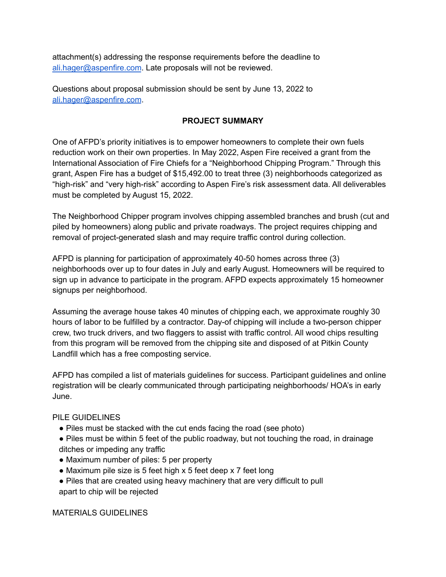attachment(s) addressing the response requirements before the deadline to [ali.hager@aspenfire.com](mailto:ali.hager@aspenfire.com). Late proposals will not be reviewed.

Questions about proposal submission should be sent by June 13, 2022 to [ali.hager@aspenfire.com](mailto:ali.hager@aspenfire.com).

## **PROJECT SUMMARY**

One of AFPD's priority initiatives is to empower homeowners to complete their own fuels reduction work on their own properties. In May 2022, Aspen Fire received a grant from the International Association of Fire Chiefs for a "Neighborhood Chipping Program." Through this grant, Aspen Fire has a budget of \$15,492.00 to treat three (3) neighborhoods categorized as "high-risk" and "very high-risk" according to Aspen Fire's risk assessment data. All deliverables must be completed by August 15, 2022.

The Neighborhood Chipper program involves chipping assembled branches and brush (cut and piled by homeowners) along public and private roadways. The project requires chipping and removal of project-generated slash and may require traffic control during collection.

AFPD is planning for participation of approximately 40-50 homes across three (3) neighborhoods over up to four dates in July and early August. Homeowners will be required to sign up in advance to participate in the program. AFPD expects approximately 15 homeowner signups per neighborhood.

Assuming the average house takes 40 minutes of chipping each, we approximate roughly 30 hours of labor to be fulfilled by a contractor. Day-of chipping will include a two-person chipper crew, two truck drivers, and two flaggers to assist with traffic control. All wood chips resulting from this program will be removed from the chipping site and disposed of at Pitkin County Landfill which has a free composting service.

AFPD has compiled a list of materials guidelines for success. Participant guidelines and online registration will be clearly communicated through participating neighborhoods/ HOA's in early June.

#### PILE GUIDELINES

- Piles must be stacked with the cut ends facing the road (see photo)
- Piles must be within 5 feet of the public roadway, but not touching the road, in drainage ditches or impeding any traffic
- Maximum number of piles: 5 per property
- Maximum pile size is 5 feet high x 5 feet deep x 7 feet long
- Piles that are created using heavy machinery that are very difficult to pull apart to chip will be rejected

MATERIALS GUIDELINES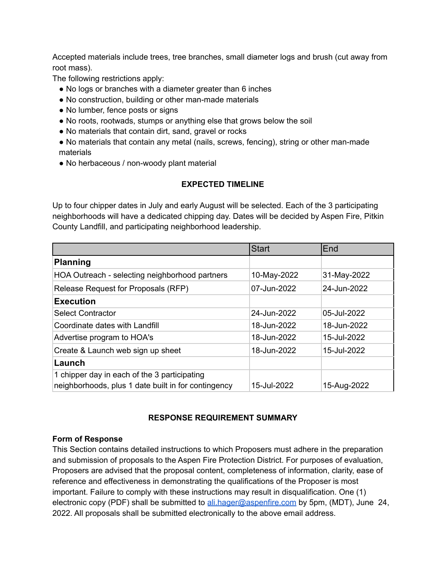Accepted materials include trees, tree branches, small diameter logs and brush (cut away from root mass).

The following restrictions apply:

- No logs or branches with a diameter greater than 6 inches
- No construction, building or other man-made materials
- No lumber, fence posts or signs
- No roots, rootwads, stumps or anything else that grows below the soil
- No materials that contain dirt, sand, gravel or rocks
- No materials that contain any metal (nails, screws, fencing), string or other man-made materials
- No herbaceous / non-woody plant material

### **EXPECTED TIMELINE**

Up to four chipper dates in July and early August will be selected. Each of the 3 participating neighborhoods will have a dedicated chipping day. Dates will be decided by Aspen Fire, Pitkin County Landfill, and participating neighborhood leadership.

|                                                                                                     | <b>Start</b> | End         |
|-----------------------------------------------------------------------------------------------------|--------------|-------------|
| <b>Planning</b>                                                                                     |              |             |
| HOA Outreach - selecting neighborhood partners                                                      | 10-May-2022  | 31-May-2022 |
| Release Request for Proposals (RFP)                                                                 | 07-Jun-2022  | 24-Jun-2022 |
| <b>Execution</b>                                                                                    |              |             |
| <b>Select Contractor</b>                                                                            | 24-Jun-2022  | 05-Jul-2022 |
| Coordinate dates with Landfill                                                                      | 18-Jun-2022  | 18-Jun-2022 |
| Advertise program to HOA's                                                                          | 18-Jun-2022  | 15-Jul-2022 |
| Create & Launch web sign up sheet                                                                   | 18-Jun-2022  | 15-Jul-2022 |
| Launch                                                                                              |              |             |
| 1 chipper day in each of the 3 participating<br>neighborhoods, plus 1 date built in for contingency | 15-Jul-2022  | 15-Aug-2022 |

#### **RESPONSE REQUIREMENT SUMMARY**

#### **Form of Response**

This Section contains detailed instructions to which Proposers must adhere in the preparation and submission of proposals to the Aspen Fire Protection District. For purposes of evaluation, Proposers are advised that the proposal content, completeness of information, clarity, ease of reference and effectiveness in demonstrating the qualifications of the Proposer is most important. Failure to comply with these instructions may result in disqualification. One (1) electronic copy (PDF) shall be submitted to [ali.hager@aspenfire.com](mailto:ali.hager@aspenfire.com) by 5pm, (MDT), June 24, 2022. All proposals shall be submitted electronically to the above email address.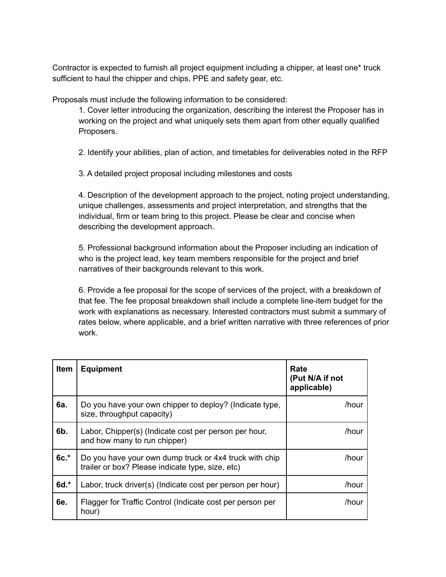Contractor is expected to furnish all project equipment including a chipper, at least one\* truck sufficient to haul the chipper and chips, PPE and safety gear, etc.

Proposals must include the following information to be considered:

1. Cover letter introducing the organization, describing the interest the Proposer has in working on the project and what uniquely sets them apart from other equally qualified Proposers.

2. Identify your abilities, plan of action, and timetables for deliverables noted in the RFP

3. A detailed project proposal including milestones and costs

4. Description of the development approach to the project, noting project understanding, unique challenges, assessments and project interpretation, and strengths that the individual, firm or team bring to this project. Please be clear and concise when describing the development approach.

5. Professional background information about the Proposer including an indication of who is the project lead, key team members responsible for the project and brief narratives of their backgrounds relevant to this work.

6. Provide a fee proposal for the scope of services of the project, with a breakdown of that fee. The fee proposal breakdown shall include a complete line-item budget for the work with explanations as necessary. Interested contractors must submit a summary of rates below, where applicable, and a brief written narrative with three references of prior work.

| <b>Item</b> | <b>Equipment</b>                                                                                           | Rate<br>(Put N/A if not<br>applicable) |
|-------------|------------------------------------------------------------------------------------------------------------|----------------------------------------|
| 6а.         | Do you have your own chipper to deploy? (Indicate type,<br>size, throughput capacity)                      | /hour                                  |
| 6b.         | Labor, Chipper(s) (Indicate cost per person per hour,<br>and how many to run chipper)                      | /hour                                  |
| $6c.*$      | Do you have your own dump truck or 4x4 truck with chip<br>trailer or box? Please indicate type, size, etc) | /hour                                  |
| 6d.*        | Labor, truck driver(s) (Indicate cost per person per hour)                                                 | /hour                                  |
| 6e.         | Flagger for Traffic Control (Indicate cost per person per<br>hour)                                         | /hour                                  |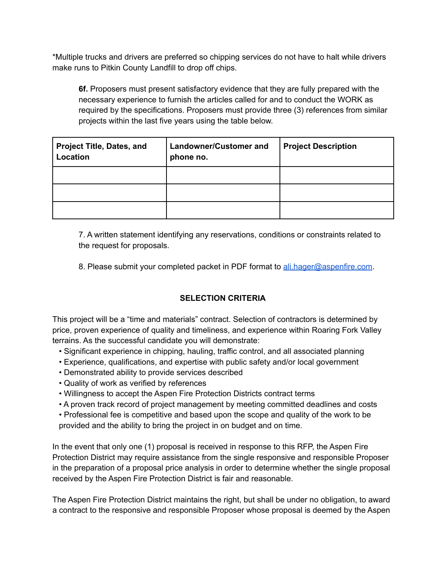\*Multiple trucks and drivers are preferred so chipping services do not have to halt while drivers make runs to Pitkin County Landfill to drop off chips.

**6f.** Proposers must present satisfactory evidence that they are fully prepared with the necessary experience to furnish the articles called for and to conduct the WORK as required by the specifications. Proposers must provide three (3) references from similar projects within the last five years using the table below.

| <b>Project Title, Dates, and</b><br>Location | <b>Landowner/Customer and</b><br>phone no. | <b>Project Description</b> |
|----------------------------------------------|--------------------------------------------|----------------------------|
|                                              |                                            |                            |
|                                              |                                            |                            |
|                                              |                                            |                            |

7. A written statement identifying any reservations, conditions or constraints related to the request for proposals.

8. Please submit your completed packet in PDF format to [ali.hager@aspenfire.com](mailto:ali.hager@aspenfire.com).

# **SELECTION CRITERIA**

This project will be a "time and materials" contract. Selection of contractors is determined by price, proven experience of quality and timeliness, and experience within Roaring Fork Valley terrains. As the successful candidate you will demonstrate:

- Significant experience in chipping, hauling, traffic control, and all associated planning
- Experience, qualifications, and expertise with public safety and/or local government
- Demonstrated ability to provide services described
- Quality of work as verified by references
- Willingness to accept the Aspen Fire Protection Districts contract terms
- A proven track record of project management by meeting committed deadlines and costs

• Professional fee is competitive and based upon the scope and quality of the work to be provided and the ability to bring the project in on budget and on time.

In the event that only one (1) proposal is received in response to this RFP, the Aspen Fire Protection District may require assistance from the single responsive and responsible Proposer in the preparation of a proposal price analysis in order to determine whether the single proposal received by the Aspen Fire Protection District is fair and reasonable.

The Aspen Fire Protection District maintains the right, but shall be under no obligation, to award a contract to the responsive and responsible Proposer whose proposal is deemed by the Aspen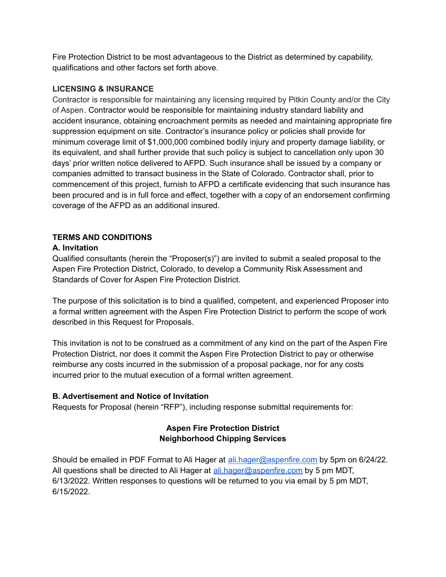Fire Protection District to be most advantageous to the District as determined by capability, qualifications and other factors set forth above.

## **LICENSING & INSURANCE**

Contractor is responsible for maintaining any licensing required by Pitkin County and/or the City of Aspen. Contractor would be responsible for maintaining industry standard liability and accident insurance, obtaining encroachment permits as needed and maintaining appropriate fire suppression equipment on site. Contractor's insurance policy or policies shall provide for minimum coverage limit of \$1,000,000 combined bodily injury and property damage liability, or its equivalent, and shall further provide that such policy is subject to cancellation only upon 30 days' prior written notice delivered to AFPD. Such insurance shall be issued by a company or companies admitted to transact business in the State of Colorado. Contractor shall, prior to commencement of this project, furnish to AFPD a certificate evidencing that such insurance has been procured and is in full force and effect, together with a copy of an endorsement confirming coverage of the AFPD as an additional insured.

# **TERMS AND CONDITIONS**

### **A. Invitation**

Qualified consultants (herein the "Proposer(s)") are invited to submit a sealed proposal to the Aspen Fire Protection District, Colorado, to develop a Community Risk Assessment and Standards of Cover for Aspen Fire Protection District.

The purpose of this solicitation is to bind a qualified, competent, and experienced Proposer into a formal written agreement with the Aspen Fire Protection District to perform the scope of work described in this Request for Proposals.

This invitation is not to be construed as a commitment of any kind on the part of the Aspen Fire Protection District, nor does it commit the Aspen Fire Protection District to pay or otherwise reimburse any costs incurred in the submission of a proposal package, nor for any costs incurred prior to the mutual execution of a formal written agreement.

# **B. Advertisement and Notice of Invitation**

Requests for Proposal (herein "RFP"), including response submittal requirements for:

# **Aspen Fire Protection District Neighborhood Chipping Services**

Should be emailed in PDF Format to Ali Hager at [ali.hager@aspenfire.com](mailto:ali.hager@aspenfire.com) by 5pm on 6/24/22. All questions shall be directed to Ali Hager at [ali.hager@aspenfire.com](mailto:ali.hager@aspenfire.com) by 5 pm MDT, 6/13/2022. Written responses to questions will be returned to you via email by 5 pm MDT, 6/15/2022.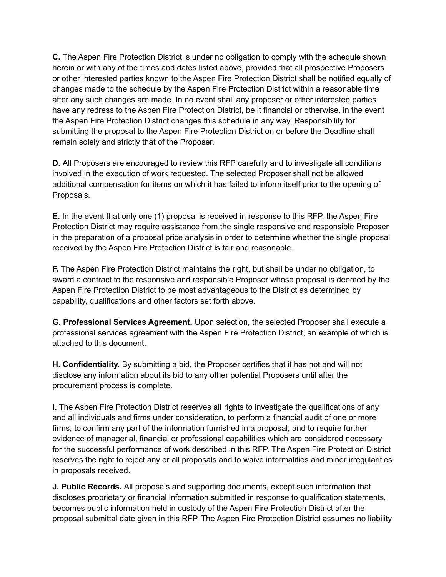**C.** The Aspen Fire Protection District is under no obligation to comply with the schedule shown herein or with any of the times and dates listed above, provided that all prospective Proposers or other interested parties known to the Aspen Fire Protection District shall be notified equally of changes made to the schedule by the Aspen Fire Protection District within a reasonable time after any such changes are made. In no event shall any proposer or other interested parties have any redress to the Aspen Fire Protection District, be it financial or otherwise, in the event the Aspen Fire Protection District changes this schedule in any way. Responsibility for submitting the proposal to the Aspen Fire Protection District on or before the Deadline shall remain solely and strictly that of the Proposer.

**D.** All Proposers are encouraged to review this RFP carefully and to investigate all conditions involved in the execution of work requested. The selected Proposer shall not be allowed additional compensation for items on which it has failed to inform itself prior to the opening of Proposals.

**E.** In the event that only one (1) proposal is received in response to this RFP, the Aspen Fire Protection District may require assistance from the single responsive and responsible Proposer in the preparation of a proposal price analysis in order to determine whether the single proposal received by the Aspen Fire Protection District is fair and reasonable.

**F.** The Aspen Fire Protection District maintains the right, but shall be under no obligation, to award a contract to the responsive and responsible Proposer whose proposal is deemed by the Aspen Fire Protection District to be most advantageous to the District as determined by capability, qualifications and other factors set forth above.

**G. Professional Services Agreement.** Upon selection, the selected Proposer shall execute a professional services agreement with the Aspen Fire Protection District, an example of which is attached to this document.

**H. Confidentiality.** By submitting a bid, the Proposer certifies that it has not and will not disclose any information about its bid to any other potential Proposers until after the procurement process is complete.

**I.** The Aspen Fire Protection District reserves all rights to investigate the qualifications of any and all individuals and firms under consideration, to perform a financial audit of one or more firms, to confirm any part of the information furnished in a proposal, and to require further evidence of managerial, financial or professional capabilities which are considered necessary for the successful performance of work described in this RFP. The Aspen Fire Protection District reserves the right to reject any or all proposals and to waive informalities and minor irregularities in proposals received.

**J. Public Records.** All proposals and supporting documents, except such information that discloses proprietary or financial information submitted in response to qualification statements, becomes public information held in custody of the Aspen Fire Protection District after the proposal submittal date given in this RFP. The Aspen Fire Protection District assumes no liability